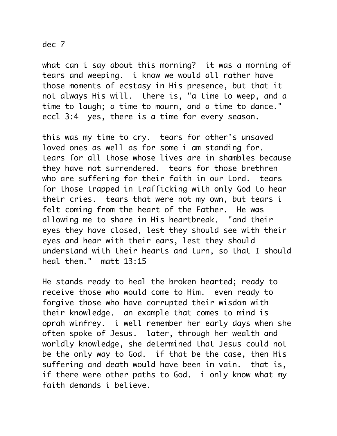## dec 7

what can i say about this morning? it was a morning of tears and weeping. i know we would all rather have those moments of ecstasy in His presence, but that it not always His will. there is, "a time to weep, and a time to laugh; a time to mourn, and a time to dance." eccl 3:4 yes, there is a time for every season.

this was my time to cry. tears for other's unsaved loved ones as well as for some i am standing for. tears for all those whose lives are in shambles because they have not surrendered. tears for those brethren who are suffering for their faith in our Lord. tears for those trapped in trafficking with only God to hear their cries. tears that were not my own, but tears i felt coming from the heart of the Father. He was allowing me to share in His heartbreak. "and their eyes they have closed, lest they should see with their eyes and hear with their ears, lest they should understand with their hearts and turn, so that I should heal them." matt 13:15

He stands ready to heal the broken hearted; ready to receive those who would come to Him. even ready to forgive those who have corrupted their wisdom with their knowledge. an example that comes to mind is oprah winfrey. i well remember her early days when she often spoke of Jesus. later, through her wealth and worldly knowledge, she determined that Jesus could not be the only way to God. if that be the case, then His suffering and death would have been in vain. that is, if there were other paths to God. i only know what my faith demands i believe.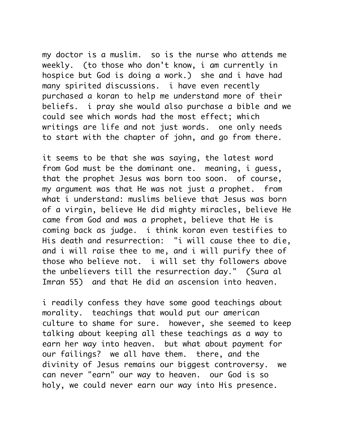my doctor is a muslim. so is the nurse who attends me weekly. (to those who don't know, i am currently in hospice but God is doing a work.) she and i have had many spirited discussions. i have even recently purchased a koran to help me understand more of their beliefs. i pray she would also purchase a bible and we could see which words had the most effect; which writings are life and not just words. one only needs to start with the chapter of john, and go from there.

it seems to be that she was saying, the latest word from God must be the dominant one. meaning, i guess, that the prophet Jesus was born too soon. of course, my argument was that He was not just a prophet. from what i understand: muslims believe that Jesus was born of a virgin, believe He did mighty miracles, believe He came from God and was a prophet, believe that He is coming back as judge. i think koran even testifies to His death and resurrection: "i will cause thee to die, and i will raise thee to me, and i will purify thee of those who believe not. i will set thy followers above the unbelievers till the resurrection day." (Sura al Imran 55) and that He did an ascension into heaven.

i readily confess they have some good teachings about morality. teachings that would put our american culture to shame for sure. however, she seemed to keep talking about keeping all these teachings as a way to earn her way into heaven. but what about payment for our failings? we all have them. there, and the divinity of Jesus remains our biggest controversy. we can never "earn" our way to heaven. our God is so holy, we could never earn our way into His presence.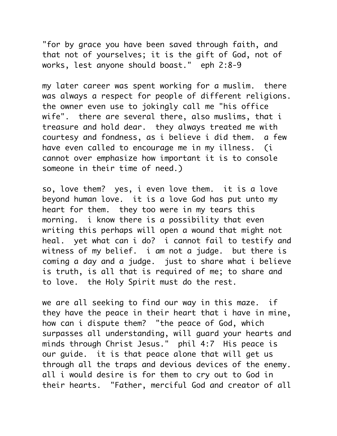"for by grace you have been saved through faith, and that not of yourselves; it is the gift of God, not of works, lest anyone should boast." eph 2:8-9

my later career was spent working for a muslim. there was always a respect for people of different religions. the owner even use to jokingly call me "his office wife". there are several there, also muslims, that i treasure and hold dear. they always treated me with courtesy and fondness, as i believe i did them. a few have even called to encourage me in my illness. (i cannot over emphasize how important it is to console someone in their time of need.)

so, love them? yes, i even love them. it is a love beyond human love. it is a love God has put unto my heart for them. they too were in my tears this morning. i know there is a possibility that even writing this perhaps will open a wound that might not heal. yet what can i do? i cannot fail to testify and witness of my belief. i am not a judge. but there is coming a day and a judge. just to share what i believe is truth, is all that is required of me; to share and to love. the Holy Spirit must do the rest.

we are all seeking to find our way in this maze. if they have the peace in their heart that i have in mine, how can i dispute them? "the peace of God, which surpasses all understanding, will guard your hearts and minds through Christ Jesus." phil 4:7 His peace is our guide. it is that peace alone that will get us through all the traps and devious devices of the enemy. all i would desire is for them to cry out to God in their hearts. "Father, merciful God and creator of all